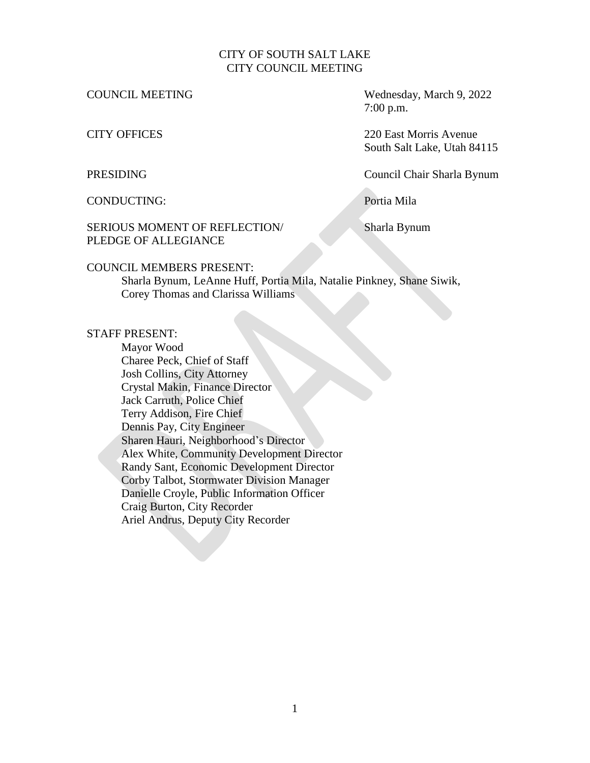### CITY OF SOUTH SALT LAKE CITY COUNCIL MEETING

COUNCIL MEETING Wednesday, March 9, 2022 7:00 p.m.

CITY OFFICES 220 East Morris Avenue South Salt Lake, Utah 84115

PRESIDING Council Chair Sharla Bynum

CONDUCTING: Portia Mila

## SERIOUS MOMENT OF REFLECTION/ Sharla Bynum PLEDGE OF ALLEGIANCE

#### COUNCIL MEMBERS PRESENT:

Sharla Bynum, LeAnne Huff, Portia Mila, Natalie Pinkney, Shane Siwik, Corey Thomas and Clarissa Williams

#### STAFF PRESENT:

Mayor Wood Charee Peck, Chief of Staff Josh Collins, City Attorney Crystal Makin, Finance Director Jack Carruth, Police Chief Terry Addison, Fire Chief Dennis Pay, City Engineer Sharen Hauri, Neighborhood's Director Alex White, Community Development Director Randy Sant, Economic Development Director Corby Talbot, Stormwater Division Manager Danielle Croyle, Public Information Officer Craig Burton, City Recorder Ariel Andrus, Deputy City Recorder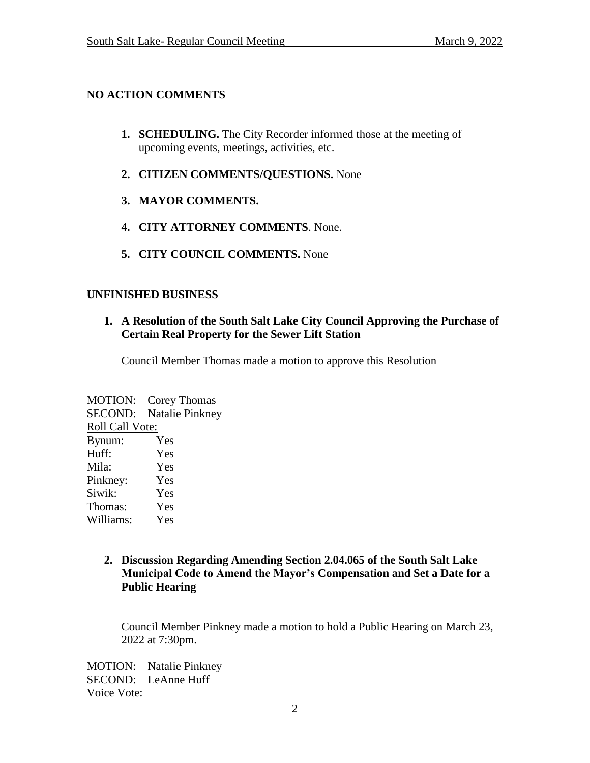# **NO ACTION COMMENTS**

- **1. SCHEDULING.** The City Recorder informed those at the meeting of upcoming events, meetings, activities, etc.
- **2. CITIZEN COMMENTS/QUESTIONS.** None
- **3. MAYOR COMMENTS.**
- **4. CITY ATTORNEY COMMENTS**. None.
- **5. CITY COUNCIL COMMENTS.** None

# **UNFINISHED BUSINESS**

## **1. A Resolution of the South Salt Lake City Council Approving the Purchase of Certain Real Property for the Sewer Lift Station**

Council Member Thomas made a motion to approve this Resolution

MOTION: Corey Thomas SECOND: Natalie Pinkney Roll Call Vote: Bynum: Yes Huff: Yes Mila: Yes Pinkney: Yes Siwik: Yes Thomas: Yes Williams: Yes

> **2. Discussion Regarding Amending Section 2.04.065 of the South Salt Lake Municipal Code to Amend the Mayor's Compensation and Set a Date for a Public Hearing**

Council Member Pinkney made a motion to hold a Public Hearing on March 23, 2022 at 7:30pm.

MOTION: Natalie Pinkney SECOND: LeAnne Huff Voice Vote: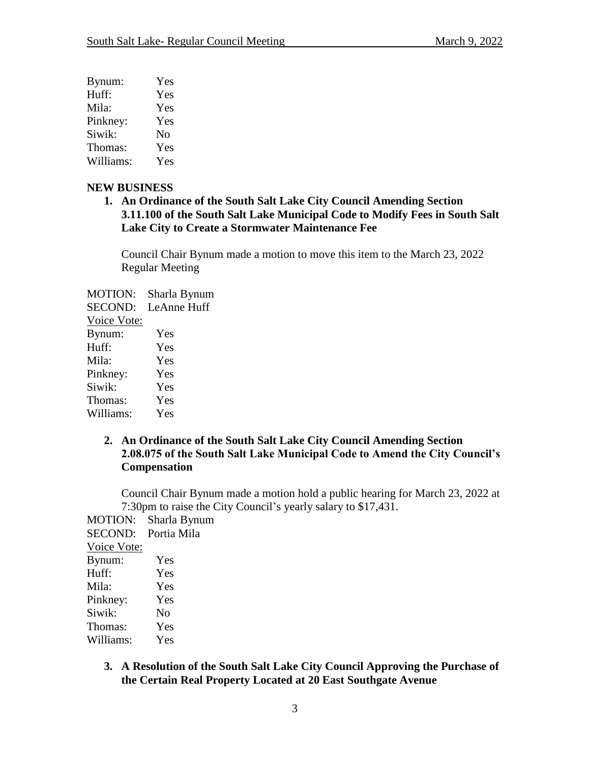| Bynum:    | Yes      |
|-----------|----------|
| Huff:     | Yes      |
| Mila:     | Yes      |
| Pinkney:  | Yes      |
| Siwik:    | $\rm No$ |
| Thomas:   | Yes      |
| Williams: | Yes      |

#### **NEW BUSINESS**

**1. An Ordinance of the South Salt Lake City Council Amending Section 3.11.100 of the South Salt Lake Municipal Code to Modify Fees in South Salt Lake City to Create a Stormwater Maintenance Fee**

Council Chair Bynum made a motion to move this item to the March 23, 2022 Regular Meeting

MOTION: Sharla Bynum SECOND: LeAnne Huff Voice Vote: Bynum: Yes

| Huff:     | Yes |
|-----------|-----|
| Mila:     | Yes |
| Pinkney:  | Yes |
| Siwik:    | Yes |
| Thomas:   | Yes |
| Williams: | Yes |

## **2. An Ordinance of the South Salt Lake City Council Amending Section 2.08.075 of the South Salt Lake Municipal Code to Amend the City Council's Compensation**

Council Chair Bynum made a motion hold a public hearing for March 23, 2022 at 7:30pm to raise the City Council's yearly salary to \$17,431.

MOTION: Sharla Bynum SECOND: Portia Mila Voice Vote: Bynum: Yes Huff: Yes Mila: Yes Pinkney: Yes Siwik: No Thomas: Yes Williams: Yes

> **3. A Resolution of the South Salt Lake City Council Approving the Purchase of the Certain Real Property Located at 20 East Southgate Avenue**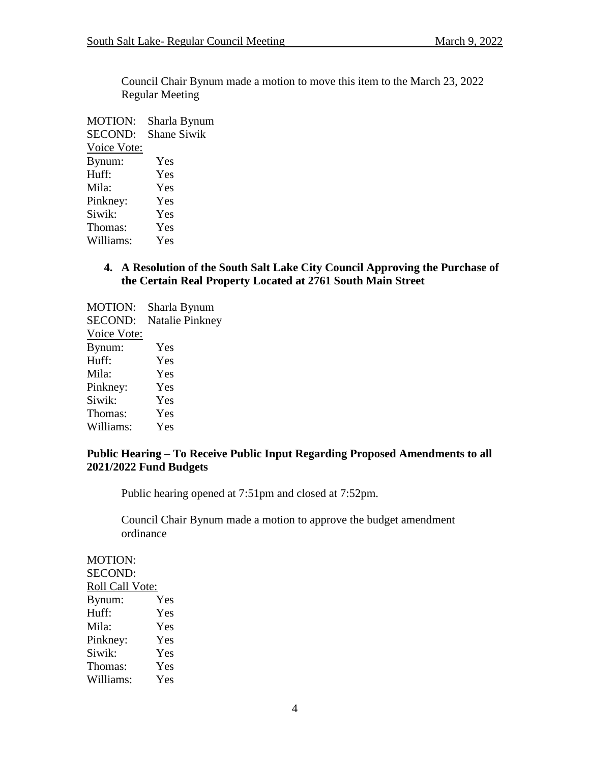Council Chair Bynum made a motion to move this item to the March 23, 2022 Regular Meeting

MOTION: Sharla Bynum SECOND: Shane Siwik Voice Vote: Bynum: Yes Huff: Yes Mila: Yes Pinkney: Yes Siwik: Yes Thomas: Yes Williams: Yes

## **4. A Resolution of the South Salt Lake City Council Approving the Purchase of the Certain Real Property Located at 2761 South Main Street**

MOTION: Sharla Bynum SECOND: Natalie Pinkney Voice Vote: Bynum: Yes Huff: Yes Mila: Yes Pinkney: Yes Siwik: Yes Thomas: Yes Williams: Yes

## **Public Hearing – To Receive Public Input Regarding Proposed Amendments to all 2021/2022 Fund Budgets**

Public hearing opened at 7:51pm and closed at 7:52pm.

Council Chair Bynum made a motion to approve the budget amendment ordinance

MOTION: SECOND: Roll Call Vote: Bynum: Yes Huff: Yes Mila: Yes Pinkney: Yes Siwik: Yes Thomas: Yes Williams: Yes